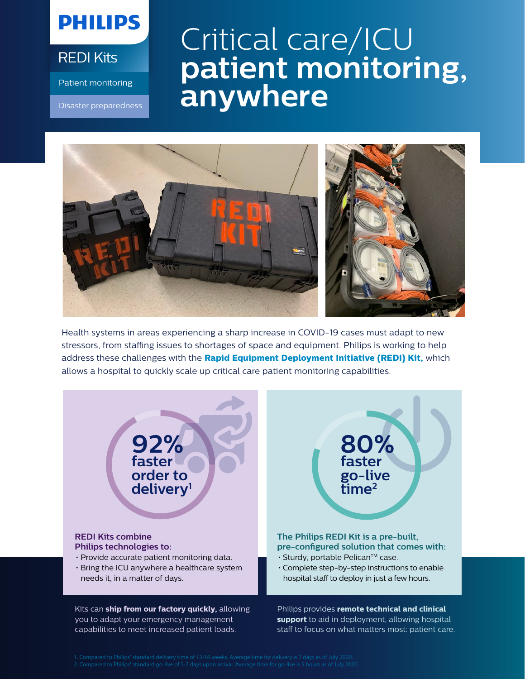## **PHILIPS**

REDI Kits

Patient monitoring

Disaster preparedness

## Critical care/ICU **patient monitoring, anywhere**



Health systems in areas experiencing a sharp increase in COVID-19 cases must adapt to new stressors, from staffing issues to shortages of space and equipment. Philips is working to help address these challenges with the **Rapid Equipment Deployment Initiative (REDI) Kit,** which allows a hospital to quickly scale up critical care patient monitoring capabilities.



you to adapt your emergency management capabilities to meet increased patient loads. **support** to aid in deployment, allowing hospital staff to focus on what matters most: patient care.